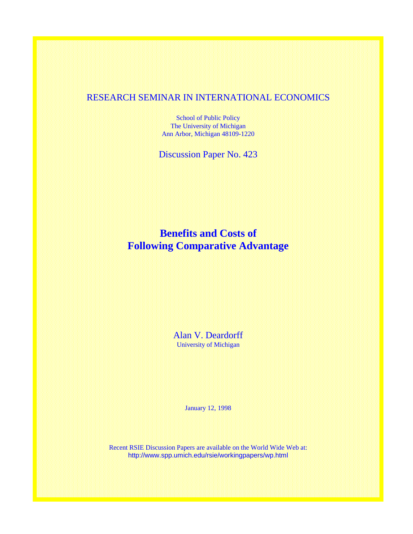# RESEARCH SEMINAR IN INTERNATIONAL ECONOMICS

School of Public Policy The University of Michigan Ann Arbor, Michigan 48109-1220

Discussion Paper No. 423

# **Benefits and Costs of Following Comparative Advantage**

Alan V. Deardorff University of Michigan

January 12, 1998

Recent RSIE Discussion Papers are available on the World Wide Web at: http://www.spp.umich.edu/rsie/workingpapers/wp.html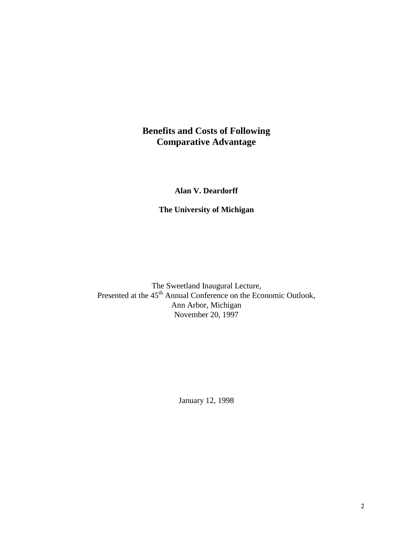# **Benefits and Costs of Following Comparative Advantage**

## **Alan V. Deardorff**

**The University of Michigan**

The Sweetland Inaugural Lecture, Presented at the 45<sup>th</sup> Annual Conference on the Economic Outlook, Ann Arbor, Michigan November 20, 1997

January 12, 1998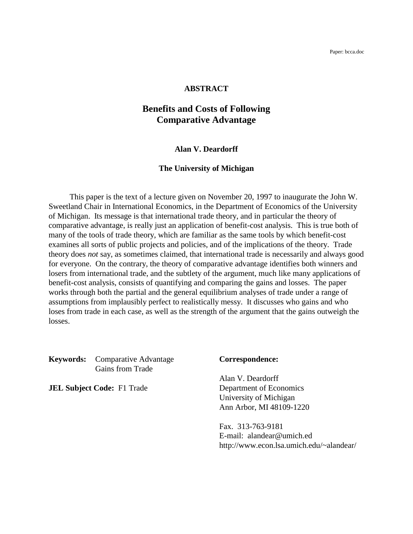Paper: bcca.doc

## **ABSTRACT**

## **Benefits and Costs of Following Comparative Advantage**

### **Alan V. Deardorff**

#### **The University of Michigan**

This paper is the text of a lecture given on November 20, 1997 to inaugurate the John W. Sweetland Chair in International Economics, in the Department of Economics of the University of Michigan. Its message is that international trade theory, and in particular the theory of comparative advantage, is really just an application of benefit-cost analysis. This is true both of many of the tools of trade theory, which are familiar as the same tools by which benefit-cost examines all sorts of public projects and policies, and of the implications of the theory. Trade theory does *not* say, as sometimes claimed, that international trade is necessarily and always good for everyone. On the contrary, the theory of comparative advantage identifies both winners and losers from international trade, and the subtlety of the argument, much like many applications of benefit-cost analysis, consists of quantifying and comparing the gains and losses. The paper works through both the partial and the general equilibrium analyses of trade under a range of assumptions from implausibly perfect to realistically messy. It discusses who gains and who loses from trade in each case, as well as the strength of the argument that the gains outweigh the losses.

**Keywords:** Comparative Advantage **Correspondence:** Gains from Trade

**JEL Subject Code:** F1 Trade Department of Economics

Alan V. Deardorff University of Michigan Ann Arbor, MI 48109-1220

Fax. 313-763-9181 E-mail: alandear@umich.ed http://www.econ.lsa.umich.edu/~alandear/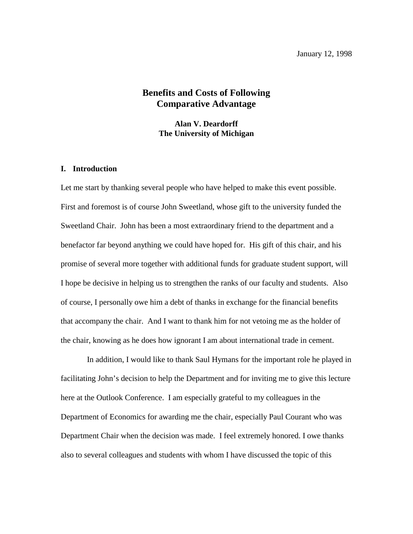## **Benefits and Costs of Following Comparative Advantage**

**Alan V. Deardorff The University of Michigan**

#### **I. Introduction**

Let me start by thanking several people who have helped to make this event possible. First and foremost is of course John Sweetland, whose gift to the university funded the Sweetland Chair. John has been a most extraordinary friend to the department and a benefactor far beyond anything we could have hoped for. His gift of this chair, and his promise of several more together with additional funds for graduate student support, will I hope be decisive in helping us to strengthen the ranks of our faculty and students. Also of course, I personally owe him a debt of thanks in exchange for the financial benefits that accompany the chair. And I want to thank him for not vetoing me as the holder of the chair, knowing as he does how ignorant I am about international trade in cement.

 In addition, I would like to thank Saul Hymans for the important role he played in facilitating John's decision to help the Department and for inviting me to give this lecture here at the Outlook Conference. I am especially grateful to my colleagues in the Department of Economics for awarding me the chair, especially Paul Courant who was Department Chair when the decision was made. I feel extremely honored. I owe thanks also to several colleagues and students with whom I have discussed the topic of this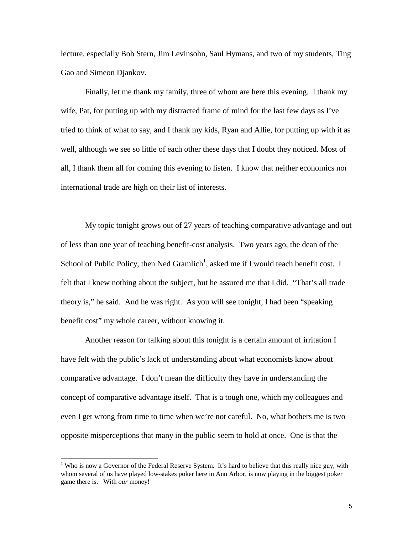lecture, especially Bob Stern, Jim Levinsohn, Saul Hymans, and two of my students, Ting Gao and Simeon Djankov.

Finally, let me thank my family, three of whom are here this evening. I thank my wife, Pat, for putting up with my distracted frame of mind for the last few days as I've tried to think of what to say, and I thank my kids, Ryan and Allie, for putting up with it as well, although we see so little of each other these days that I doubt they noticed. Most of all, I thank them all for coming this evening to listen. I know that neither economics nor international trade are high on their list of interests.

My topic tonight grows out of 27 years of teaching comparative advantage and out of less than one year of teaching benefit-cost analysis. Two years ago, the dean of the School of Public Policy, then Ned Gramlich<sup>1</sup>, asked me if I would teach benefit cost. I felt that I knew nothing about the subject, but he assured me that I did. "That's all trade theory is," he said. And he was right. As you will see tonight, I had been "speaking benefit cost" my whole career, without knowing it.

Another reason for talking about this tonight is a certain amount of irritation I have felt with the public's lack of understanding about what economists know about comparative advantage. I don't mean the difficulty they have in understanding the concept of comparative advantage itself. That is a tough one, which my colleagues and even I get wrong from time to time when we're not careful. No, what bothers me is two opposite misperceptions that many in the public seem to hold at once. One is that the

 $\overline{a}$ 

<sup>&</sup>lt;sup>1</sup> Who is now a Governor of the Federal Reserve System. It's hard to believe that this really nice guy, with whom several of us have played low-stakes poker here in Ann Arbor, is now playing in the biggest poker game there is. With *our* money!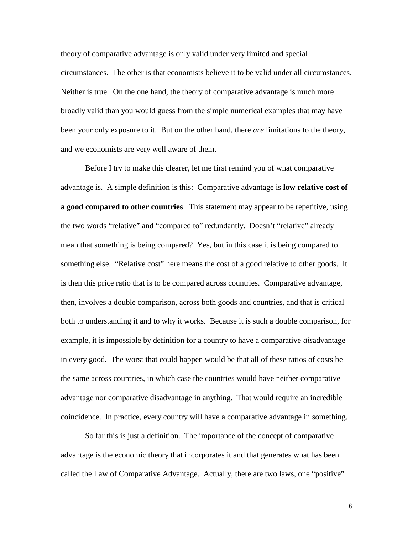theory of comparative advantage is only valid under very limited and special circumstances. The other is that economists believe it to be valid under all circumstances. Neither is true. On the one hand, the theory of comparative advantage is much more broadly valid than you would guess from the simple numerical examples that may have been your only exposure to it. But on the other hand, there *are* limitations to the theory, and we economists are very well aware of them.

Before I try to make this clearer, let me first remind you of what comparative advantage is. A simple definition is this: Comparative advantage is **low relative cost of a good compared to other countries**. This statement may appear to be repetitive, using the two words "relative" and "compared to" redundantly. Doesn't "relative" already mean that something is being compared? Yes, but in this case it is being compared to something else. "Relative cost" here means the cost of a good relative to other goods. It is then this price ratio that is to be compared across countries. Comparative advantage, then, involves a double comparison, across both goods and countries, and that is critical both to understanding it and to why it works. Because it is such a double comparison, for example, it is impossible by definition for a country to have a comparative *dis*advantage in every good. The worst that could happen would be that all of these ratios of costs be the same across countries, in which case the countries would have neither comparative advantage nor comparative disadvantage in anything. That would require an incredible coincidence. In practice, every country will have a comparative advantage in something.

So far this is just a definition. The importance of the concept of comparative advantage is the economic theory that incorporates it and that generates what has been called the Law of Comparative Advantage. Actually, there are two laws, one "positive"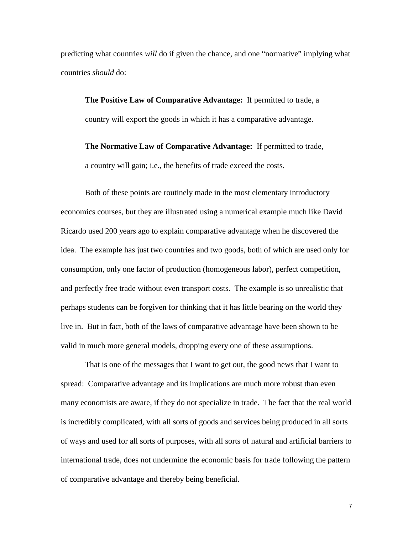predicting what countries *will* do if given the chance, and one "normative" implying what countries *should* do:

**The Positive Law of Comparative Advantage:** If permitted to trade, a country will export the goods in which it has a comparative advantage.

**The Normative Law of Comparative Advantage:** If permitted to trade, a country will gain; i.e., the benefits of trade exceed the costs.

Both of these points are routinely made in the most elementary introductory economics courses, but they are illustrated using a numerical example much like David Ricardo used 200 years ago to explain comparative advantage when he discovered the idea. The example has just two countries and two goods, both of which are used only for consumption, only one factor of production (homogeneous labor), perfect competition, and perfectly free trade without even transport costs. The example is so unrealistic that perhaps students can be forgiven for thinking that it has little bearing on the world they live in. But in fact, both of the laws of comparative advantage have been shown to be valid in much more general models, dropping every one of these assumptions.

That is one of the messages that I want to get out, the good news that I want to spread: Comparative advantage and its implications are much more robust than even many economists are aware, if they do not specialize in trade. The fact that the real world is incredibly complicated, with all sorts of goods and services being produced in all sorts of ways and used for all sorts of purposes, with all sorts of natural and artificial barriers to international trade, does not undermine the economic basis for trade following the pattern of comparative advantage and thereby being beneficial.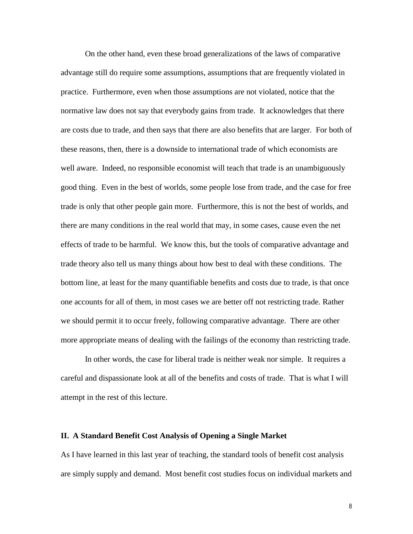On the other hand, even these broad generalizations of the laws of comparative advantage still do require some assumptions, assumptions that are frequently violated in practice. Furthermore, even when those assumptions are not violated, notice that the normative law does not say that everybody gains from trade. It acknowledges that there are costs due to trade, and then says that there are also benefits that are larger. For both of these reasons, then, there is a downside to international trade of which economists are well aware. Indeed, no responsible economist will teach that trade is an unambiguously good thing. Even in the best of worlds, some people lose from trade, and the case for free trade is only that other people gain more. Furthermore, this is not the best of worlds, and there are many conditions in the real world that may, in some cases, cause even the net effects of trade to be harmful. We know this, but the tools of comparative advantage and trade theory also tell us many things about how best to deal with these conditions. The bottom line, at least for the many quantifiable benefits and costs due to trade, is that once one accounts for all of them, in most cases we are better off not restricting trade. Rather we should permit it to occur freely, following comparative advantage. There are other more appropriate means of dealing with the failings of the economy than restricting trade.

In other words, the case for liberal trade is neither weak nor simple. It requires a careful and dispassionate look at all of the benefits and costs of trade. That is what I will attempt in the rest of this lecture.

#### **II. A Standard Benefit Cost Analysis of Opening a Single Market**

As I have learned in this last year of teaching, the standard tools of benefit cost analysis are simply supply and demand. Most benefit cost studies focus on individual markets and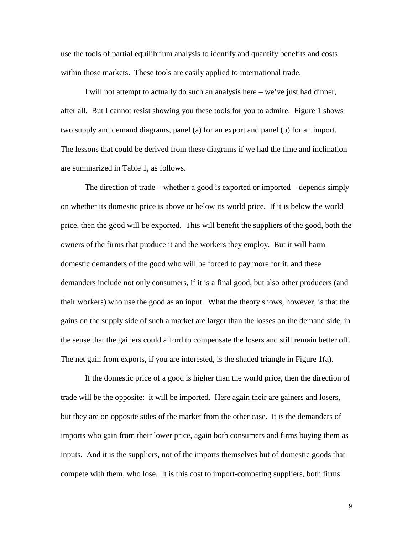use the tools of partial equilibrium analysis to identify and quantify benefits and costs within those markets. These tools are easily applied to international trade.

I will not attempt to actually do such an analysis here – we've just had dinner, after all. But I cannot resist showing you these tools for you to admire. Figure 1 shows two supply and demand diagrams, panel (a) for an export and panel (b) for an import. The lessons that could be derived from these diagrams if we had the time and inclination are summarized in Table 1, as follows.

The direction of trade – whether a good is exported or imported – depends simply on whether its domestic price is above or below its world price. If it is below the world price, then the good will be exported. This will benefit the suppliers of the good, both the owners of the firms that produce it and the workers they employ. But it will harm domestic demanders of the good who will be forced to pay more for it, and these demanders include not only consumers, if it is a final good, but also other producers (and their workers) who use the good as an input. What the theory shows, however, is that the gains on the supply side of such a market are larger than the losses on the demand side, in the sense that the gainers could afford to compensate the losers and still remain better off. The net gain from exports, if you are interested, is the shaded triangle in Figure 1(a).

If the domestic price of a good is higher than the world price, then the direction of trade will be the opposite: it will be imported. Here again their are gainers and losers, but they are on opposite sides of the market from the other case. It is the demanders of imports who gain from their lower price, again both consumers and firms buying them as inputs. And it is the suppliers, not of the imports themselves but of domestic goods that compete with them, who lose. It is this cost to import-competing suppliers, both firms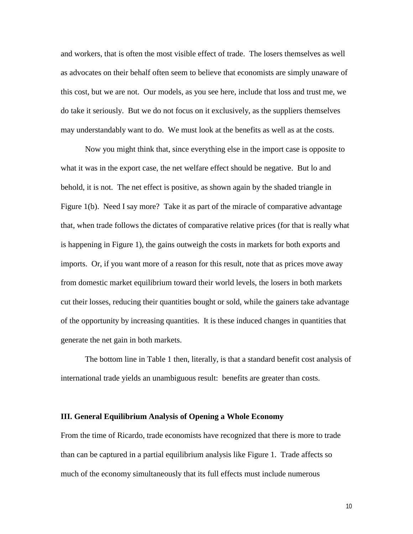and workers, that is often the most visible effect of trade. The losers themselves as well as advocates on their behalf often seem to believe that economists are simply unaware of this cost, but we are not. Our models, as you see here, include that loss and trust me, we do take it seriously. But we do not focus on it exclusively, as the suppliers themselves may understandably want to do. We must look at the benefits as well as at the costs.

Now you might think that, since everything else in the import case is opposite to what it was in the export case, the net welfare effect should be negative. But lo and behold, it is not. The net effect is positive, as shown again by the shaded triangle in Figure 1(b). Need I say more? Take it as part of the miracle of comparative advantage that, when trade follows the dictates of comparative relative prices (for that is really what is happening in Figure 1), the gains outweigh the costs in markets for both exports and imports. Or, if you want more of a reason for this result, note that as prices move away from domestic market equilibrium toward their world levels, the losers in both markets cut their losses, reducing their quantities bought or sold, while the gainers take advantage of the opportunity by increasing quantities. It is these induced changes in quantities that generate the net gain in both markets.

The bottom line in Table 1 then, literally, is that a standard benefit cost analysis of international trade yields an unambiguous result: benefits are greater than costs.

#### **III. General Equilibrium Analysis of Opening a Whole Economy**

From the time of Ricardo, trade economists have recognized that there is more to trade than can be captured in a partial equilibrium analysis like Figure 1. Trade affects so much of the economy simultaneously that its full effects must include numerous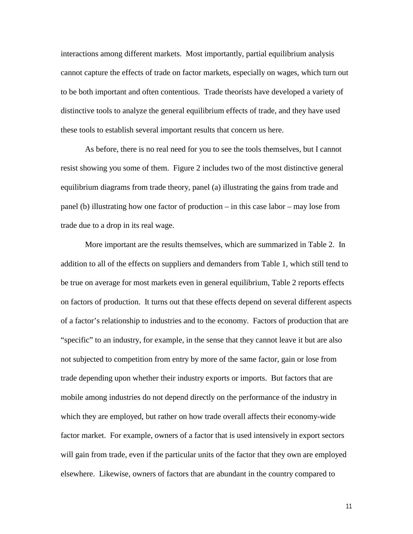interactions among different markets. Most importantly, partial equilibrium analysis cannot capture the effects of trade on factor markets, especially on wages, which turn out to be both important and often contentious. Trade theorists have developed a variety of distinctive tools to analyze the general equilibrium effects of trade, and they have used these tools to establish several important results that concern us here.

As before, there is no real need for you to see the tools themselves, but I cannot resist showing you some of them. Figure 2 includes two of the most distinctive general equilibrium diagrams from trade theory, panel (a) illustrating the gains from trade and panel (b) illustrating how one factor of production – in this case labor – may lose from trade due to a drop in its real wage.

More important are the results themselves, which are summarized in Table 2. In addition to all of the effects on suppliers and demanders from Table 1, which still tend to be true on average for most markets even in general equilibrium, Table 2 reports effects on factors of production. It turns out that these effects depend on several different aspects of a factor's relationship to industries and to the economy. Factors of production that are "specific" to an industry, for example, in the sense that they cannot leave it but are also not subjected to competition from entry by more of the same factor, gain or lose from trade depending upon whether their industry exports or imports. But factors that are mobile among industries do not depend directly on the performance of the industry in which they are employed, but rather on how trade overall affects their economy-wide factor market. For example, owners of a factor that is used intensively in export sectors will gain from trade, even if the particular units of the factor that they own are employed elsewhere. Likewise, owners of factors that are abundant in the country compared to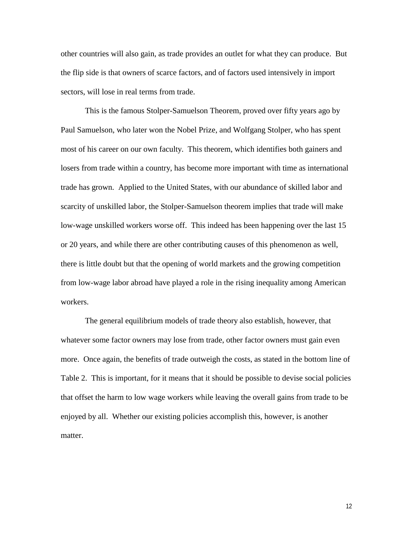other countries will also gain, as trade provides an outlet for what they can produce. But the flip side is that owners of scarce factors, and of factors used intensively in import sectors, will lose in real terms from trade.

This is the famous Stolper-Samuelson Theorem, proved over fifty years ago by Paul Samuelson, who later won the Nobel Prize, and Wolfgang Stolper, who has spent most of his career on our own faculty. This theorem, which identifies both gainers and losers from trade within a country, has become more important with time as international trade has grown. Applied to the United States, with our abundance of skilled labor and scarcity of unskilled labor, the Stolper-Samuelson theorem implies that trade will make low-wage unskilled workers worse off. This indeed has been happening over the last 15 or 20 years, and while there are other contributing causes of this phenomenon as well, there is little doubt but that the opening of world markets and the growing competition from low-wage labor abroad have played a role in the rising inequality among American workers.

The general equilibrium models of trade theory also establish, however, that whatever some factor owners may lose from trade, other factor owners must gain even more. Once again, the benefits of trade outweigh the costs, as stated in the bottom line of Table 2. This is important, for it means that it should be possible to devise social policies that offset the harm to low wage workers while leaving the overall gains from trade to be enjoyed by all. Whether our existing policies accomplish this, however, is another matter.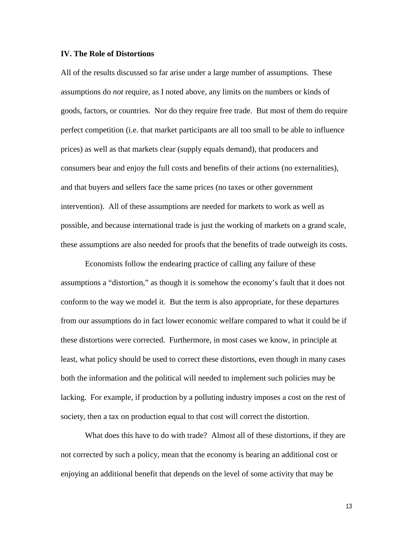#### **IV. The Role of Distortions**

All of the results discussed so far arise under a large number of assumptions. These assumptions do *not* require, as I noted above, any limits on the numbers or kinds of goods, factors, or countries. Nor do they require free trade. But most of them do require perfect competition (i.e. that market participants are all too small to be able to influence prices) as well as that markets clear (supply equals demand), that producers and consumers bear and enjoy the full costs and benefits of their actions (no externalities), and that buyers and sellers face the same prices (no taxes or other government intervention). All of these assumptions are needed for markets to work as well as possible, and because international trade is just the working of markets on a grand scale, these assumptions are also needed for proofs that the benefits of trade outweigh its costs.

 Economists follow the endearing practice of calling any failure of these assumptions a "distortion," as though it is somehow the economy's fault that it does not conform to the way we model it. But the term is also appropriate, for these departures from our assumptions do in fact lower economic welfare compared to what it could be if these distortions were corrected. Furthermore, in most cases we know, in principle at least, what policy should be used to correct these distortions, even though in many cases both the information and the political will needed to implement such policies may be lacking. For example, if production by a polluting industry imposes a cost on the rest of society, then a tax on production equal to that cost will correct the distortion.

What does this have to do with trade? Almost all of these distortions, if they are not corrected by such a policy, mean that the economy is bearing an additional cost or enjoying an additional benefit that depends on the level of some activity that may be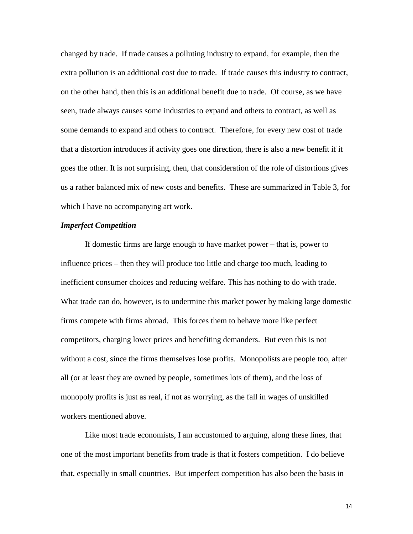changed by trade. If trade causes a polluting industry to expand, for example, then the extra pollution is an additional cost due to trade. If trade causes this industry to contract, on the other hand, then this is an additional benefit due to trade. Of course, as we have seen, trade always causes some industries to expand and others to contract, as well as some demands to expand and others to contract. Therefore, for every new cost of trade that a distortion introduces if activity goes one direction, there is also a new benefit if it goes the other. It is not surprising, then, that consideration of the role of distortions gives us a rather balanced mix of new costs and benefits. These are summarized in Table 3, for which I have no accompanying art work.

#### *Imperfect Competition*

If domestic firms are large enough to have market power – that is, power to influence prices – then they will produce too little and charge too much, leading to inefficient consumer choices and reducing welfare. This has nothing to do with trade. What trade can do, however, is to undermine this market power by making large domestic firms compete with firms abroad. This forces them to behave more like perfect competitors, charging lower prices and benefiting demanders. But even this is not without a cost, since the firms themselves lose profits. Monopolists are people too, after all (or at least they are owned by people, sometimes lots of them), and the loss of monopoly profits is just as real, if not as worrying, as the fall in wages of unskilled workers mentioned above.

Like most trade economists, I am accustomed to arguing, along these lines, that one of the most important benefits from trade is that it fosters competition. I do believe that, especially in small countries. But imperfect competition has also been the basis in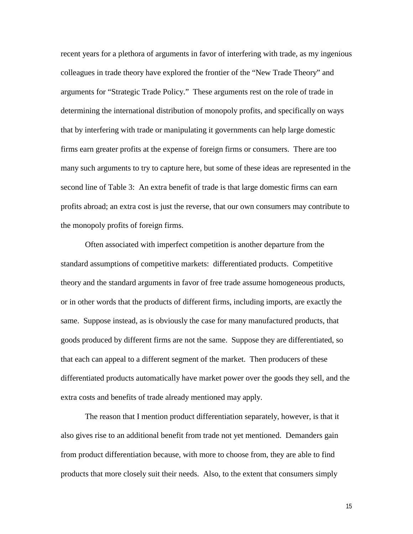recent years for a plethora of arguments in favor of interfering with trade, as my ingenious colleagues in trade theory have explored the frontier of the "New Trade Theory" and arguments for "Strategic Trade Policy." These arguments rest on the role of trade in determining the international distribution of monopoly profits, and specifically on ways that by interfering with trade or manipulating it governments can help large domestic firms earn greater profits at the expense of foreign firms or consumers. There are too many such arguments to try to capture here, but some of these ideas are represented in the second line of Table 3: An extra benefit of trade is that large domestic firms can earn profits abroad; an extra cost is just the reverse, that our own consumers may contribute to the monopoly profits of foreign firms.

Often associated with imperfect competition is another departure from the standard assumptions of competitive markets: differentiated products. Competitive theory and the standard arguments in favor of free trade assume homogeneous products, or in other words that the products of different firms, including imports, are exactly the same. Suppose instead, as is obviously the case for many manufactured products, that goods produced by different firms are not the same. Suppose they are differentiated, so that each can appeal to a different segment of the market. Then producers of these differentiated products automatically have market power over the goods they sell, and the extra costs and benefits of trade already mentioned may apply.

The reason that I mention product differentiation separately, however, is that it also gives rise to an additional benefit from trade not yet mentioned. Demanders gain from product differentiation because, with more to choose from, they are able to find products that more closely suit their needs. Also, to the extent that consumers simply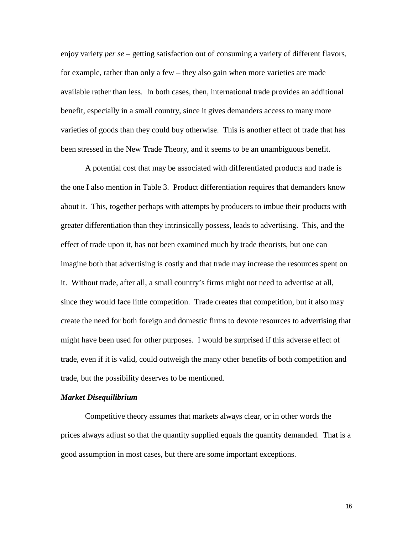enjoy variety *per se* – getting satisfaction out of consuming a variety of different flavors, for example, rather than only a few – they also gain when more varieties are made available rather than less. In both cases, then, international trade provides an additional benefit, especially in a small country, since it gives demanders access to many more varieties of goods than they could buy otherwise. This is another effect of trade that has been stressed in the New Trade Theory, and it seems to be an unambiguous benefit.

A potential cost that may be associated with differentiated products and trade is the one I also mention in Table 3. Product differentiation requires that demanders know about it. This, together perhaps with attempts by producers to imbue their products with greater differentiation than they intrinsically possess, leads to advertising. This, and the effect of trade upon it, has not been examined much by trade theorists, but one can imagine both that advertising is costly and that trade may increase the resources spent on it. Without trade, after all, a small country's firms might not need to advertise at all, since they would face little competition. Trade creates that competition, but it also may create the need for both foreign and domestic firms to devote resources to advertising that might have been used for other purposes. I would be surprised if this adverse effect of trade, even if it is valid, could outweigh the many other benefits of both competition and trade, but the possibility deserves to be mentioned.

#### *Market Disequilibrium*

Competitive theory assumes that markets always clear, or in other words the prices always adjust so that the quantity supplied equals the quantity demanded. That is a good assumption in most cases, but there are some important exceptions.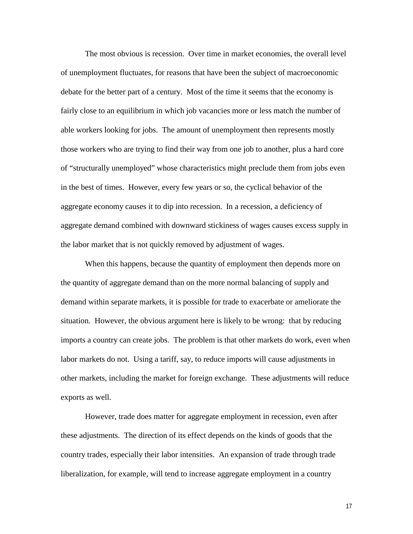The most obvious is recession. Over time in market economies, the overall level of unemployment fluctuates, for reasons that have been the subject of macroeconomic debate for the better part of a century. Most of the time it seems that the economy is fairly close to an equilibrium in which job vacancies more or less match the number of able workers looking for jobs. The amount of unemployment then represents mostly those workers who are trying to find their way from one job to another, plus a hard core of "structurally unemployed" whose characteristics might preclude them from jobs even in the best of times. However, every few years or so, the cyclical behavior of the aggregate economy causes it to dip into recession. In a recession, a deficiency of aggregate demand combined with downward stickiness of wages causes excess supply in the labor market that is not quickly removed by adjustment of wages.

When this happens, because the quantity of employment then depends more on the quantity of aggregate demand than on the more normal balancing of supply and demand within separate markets, it is possible for trade to exacerbate or ameliorate the situation. However, the obvious argument here is likely to be wrong: that by reducing imports a country can create jobs. The problem is that other markets do work, even when labor markets do not. Using a tariff, say, to reduce imports will cause adjustments in other markets, including the market for foreign exchange. These adjustments will reduce exports as well.

However, trade does matter for aggregate employment in recession, even after these adjustments. The direction of its effect depends on the kinds of goods that the country trades, especially their labor intensities. An expansion of trade through trade liberalization, for example, will tend to increase aggregate employment in a country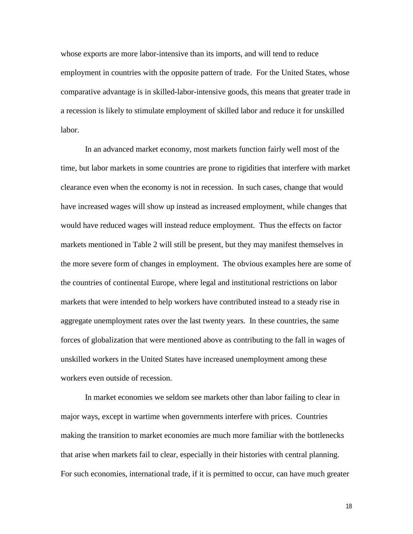whose exports are more labor-intensive than its imports, and will tend to reduce employment in countries with the opposite pattern of trade. For the United States, whose comparative advantage is in skilled-labor-intensive goods, this means that greater trade in a recession is likely to stimulate employment of skilled labor and reduce it for unskilled labor.

In an advanced market economy, most markets function fairly well most of the time, but labor markets in some countries are prone to rigidities that interfere with market clearance even when the economy is not in recession. In such cases, change that would have increased wages will show up instead as increased employment, while changes that would have reduced wages will instead reduce employment. Thus the effects on factor markets mentioned in Table 2 will still be present, but they may manifest themselves in the more severe form of changes in employment. The obvious examples here are some of the countries of continental Europe, where legal and institutional restrictions on labor markets that were intended to help workers have contributed instead to a steady rise in aggregate unemployment rates over the last twenty years. In these countries, the same forces of globalization that were mentioned above as contributing to the fall in wages of unskilled workers in the United States have increased unemployment among these workers even outside of recession.

In market economies we seldom see markets other than labor failing to clear in major ways, except in wartime when governments interfere with prices. Countries making the transition to market economies are much more familiar with the bottlenecks that arise when markets fail to clear, especially in their histories with central planning. For such economies, international trade, if it is permitted to occur, can have much greater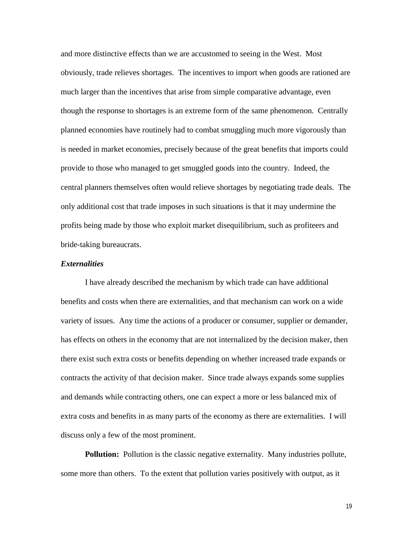and more distinctive effects than we are accustomed to seeing in the West. Most obviously, trade relieves shortages. The incentives to import when goods are rationed are much larger than the incentives that arise from simple comparative advantage, even though the response to shortages is an extreme form of the same phenomenon. Centrally planned economies have routinely had to combat smuggling much more vigorously than is needed in market economies, precisely because of the great benefits that imports could provide to those who managed to get smuggled goods into the country. Indeed, the central planners themselves often would relieve shortages by negotiating trade deals. The only additional cost that trade imposes in such situations is that it may undermine the profits being made by those who exploit market disequilibrium, such as profiteers and bride-taking bureaucrats.

### *Externalities*

I have already described the mechanism by which trade can have additional benefits and costs when there are externalities, and that mechanism can work on a wide variety of issues. Any time the actions of a producer or consumer, supplier or demander, has effects on others in the economy that are not internalized by the decision maker, then there exist such extra costs or benefits depending on whether increased trade expands or contracts the activity of that decision maker. Since trade always expands some supplies and demands while contracting others, one can expect a more or less balanced mix of extra costs and benefits in as many parts of the economy as there are externalities. I will discuss only a few of the most prominent.

**Pollution:** Pollution is the classic negative externality. Many industries pollute, some more than others. To the extent that pollution varies positively with output, as it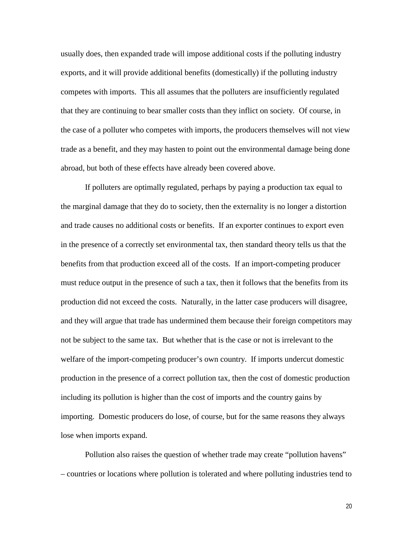usually does, then expanded trade will impose additional costs if the polluting industry exports, and it will provide additional benefits (domestically) if the polluting industry competes with imports. This all assumes that the polluters are insufficiently regulated that they are continuing to bear smaller costs than they inflict on society. Of course, in the case of a polluter who competes with imports, the producers themselves will not view trade as a benefit, and they may hasten to point out the environmental damage being done abroad, but both of these effects have already been covered above.

If polluters are optimally regulated, perhaps by paying a production tax equal to the marginal damage that they do to society, then the externality is no longer a distortion and trade causes no additional costs or benefits. If an exporter continues to export even in the presence of a correctly set environmental tax, then standard theory tells us that the benefits from that production exceed all of the costs. If an import-competing producer must reduce output in the presence of such a tax, then it follows that the benefits from its production did not exceed the costs. Naturally, in the latter case producers will disagree, and they will argue that trade has undermined them because their foreign competitors may not be subject to the same tax. But whether that is the case or not is irrelevant to the welfare of the import-competing producer's own country. If imports undercut domestic production in the presence of a correct pollution tax, then the cost of domestic production including its pollution is higher than the cost of imports and the country gains by importing. Domestic producers do lose, of course, but for the same reasons they always lose when imports expand.

Pollution also raises the question of whether trade may create "pollution havens" – countries or locations where pollution is tolerated and where polluting industries tend to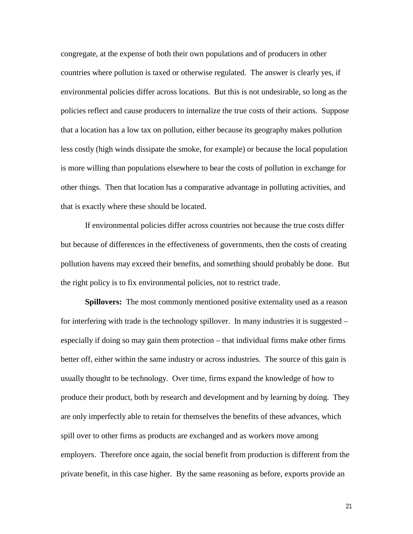congregate, at the expense of both their own populations and of producers in other countries where pollution is taxed or otherwise regulated. The answer is clearly yes, if environmental policies differ across locations. But this is not undesirable, so long as the policies reflect and cause producers to internalize the true costs of their actions. Suppose that a location has a low tax on pollution, either because its geography makes pollution less costly (high winds dissipate the smoke, for example) or because the local population is more willing than populations elsewhere to bear the costs of pollution in exchange for other things. Then that location has a comparative advantage in polluting activities, and that is exactly where these should be located.

If environmental policies differ across countries not because the true costs differ but because of differences in the effectiveness of governments, then the costs of creating pollution havens may exceed their benefits, and something should probably be done. But the right policy is to fix environmental policies, not to restrict trade.

**Spillovers:** The most commonly mentioned positive externality used as a reason for interfering with trade is the technology spillover. In many industries it is suggested – especially if doing so may gain them protection – that individual firms make other firms better off, either within the same industry or across industries. The source of this gain is usually thought to be technology. Over time, firms expand the knowledge of how to produce their product, both by research and development and by learning by doing. They are only imperfectly able to retain for themselves the benefits of these advances, which spill over to other firms as products are exchanged and as workers move among employers. Therefore once again, the social benefit from production is different from the private benefit, in this case higher. By the same reasoning as before, exports provide an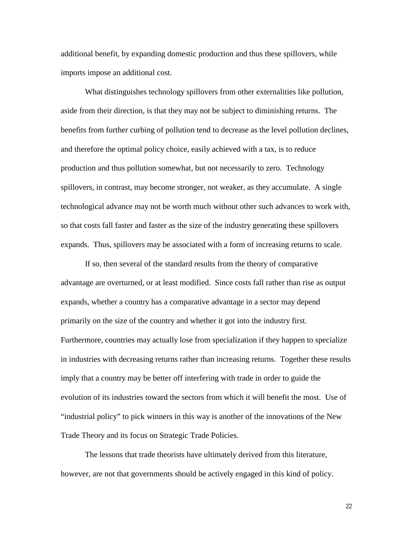additional benefit, by expanding domestic production and thus these spillovers, while imports impose an additional cost.

What distinguishes technology spillovers from other externalities like pollution, aside from their direction, is that they may not be subject to diminishing returns. The benefits from further curbing of pollution tend to decrease as the level pollution declines, and therefore the optimal policy choice, easily achieved with a tax, is to reduce production and thus pollution somewhat, but not necessarily to zero. Technology spillovers, in contrast, may become stronger, not weaker, as they accumulate. A single technological advance may not be worth much without other such advances to work with, so that costs fall faster and faster as the size of the industry generating these spillovers expands. Thus, spillovers may be associated with a form of increasing returns to scale.

If so, then several of the standard results from the theory of comparative advantage are overturned, or at least modified. Since costs fall rather than rise as output expands, whether a country has a comparative advantage in a sector may depend primarily on the size of the country and whether it got into the industry first. Furthermore, countries may actually lose from specialization if they happen to specialize in industries with decreasing returns rather than increasing returns. Together these results imply that a country may be better off interfering with trade in order to guide the evolution of its industries toward the sectors from which it will benefit the most. Use of "industrial policy" to pick winners in this way is another of the innovations of the New Trade Theory and its focus on Strategic Trade Policies.

The lessons that trade theorists have ultimately derived from this literature, however, are not that governments should be actively engaged in this kind of policy.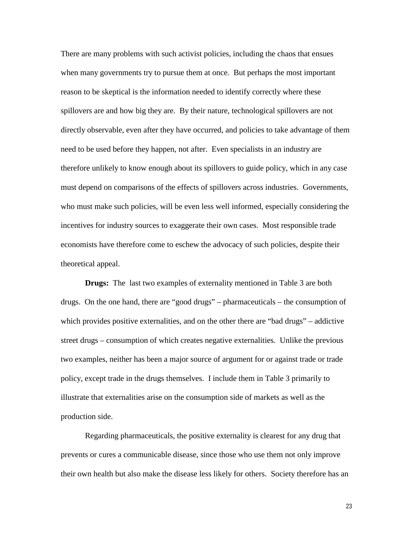There are many problems with such activist policies, including the chaos that ensues when many governments try to pursue them at once. But perhaps the most important reason to be skeptical is the information needed to identify correctly where these spillovers are and how big they are. By their nature, technological spillovers are not directly observable, even after they have occurred, and policies to take advantage of them need to be used before they happen, not after. Even specialists in an industry are therefore unlikely to know enough about its spillovers to guide policy, which in any case must depend on comparisons of the effects of spillovers across industries. Governments, who must make such policies, will be even less well informed, especially considering the incentives for industry sources to exaggerate their own cases. Most responsible trade economists have therefore come to eschew the advocacy of such policies, despite their theoretical appeal.

**Drugs:** The last two examples of externality mentioned in Table 3 are both drugs. On the one hand, there are "good drugs" – pharmaceuticals – the consumption of which provides positive externalities, and on the other there are "bad drugs" – addictive street drugs – consumption of which creates negative externalities. Unlike the previous two examples, neither has been a major source of argument for or against trade or trade policy, except trade in the drugs themselves. I include them in Table 3 primarily to illustrate that externalities arise on the consumption side of markets as well as the production side.

Regarding pharmaceuticals, the positive externality is clearest for any drug that prevents or cures a communicable disease, since those who use them not only improve their own health but also make the disease less likely for others. Society therefore has an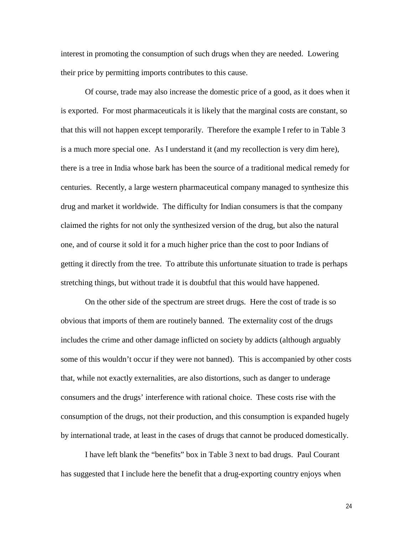interest in promoting the consumption of such drugs when they are needed. Lowering their price by permitting imports contributes to this cause.

Of course, trade may also increase the domestic price of a good, as it does when it is exported. For most pharmaceuticals it is likely that the marginal costs are constant, so that this will not happen except temporarily. Therefore the example I refer to in Table 3 is a much more special one. As I understand it (and my recollection is very dim here), there is a tree in India whose bark has been the source of a traditional medical remedy for centuries. Recently, a large western pharmaceutical company managed to synthesize this drug and market it worldwide. The difficulty for Indian consumers is that the company claimed the rights for not only the synthesized version of the drug, but also the natural one, and of course it sold it for a much higher price than the cost to poor Indians of getting it directly from the tree. To attribute this unfortunate situation to trade is perhaps stretching things, but without trade it is doubtful that this would have happened.

On the other side of the spectrum are street drugs. Here the cost of trade is so obvious that imports of them are routinely banned. The externality cost of the drugs includes the crime and other damage inflicted on society by addicts (although arguably some of this wouldn't occur if they were not banned). This is accompanied by other costs that, while not exactly externalities, are also distortions, such as danger to underage consumers and the drugs' interference with rational choice. These costs rise with the consumption of the drugs, not their production, and this consumption is expanded hugely by international trade, at least in the cases of drugs that cannot be produced domestically.

I have left blank the "benefits" box in Table 3 next to bad drugs. Paul Courant has suggested that I include here the benefit that a drug-exporting country enjoys when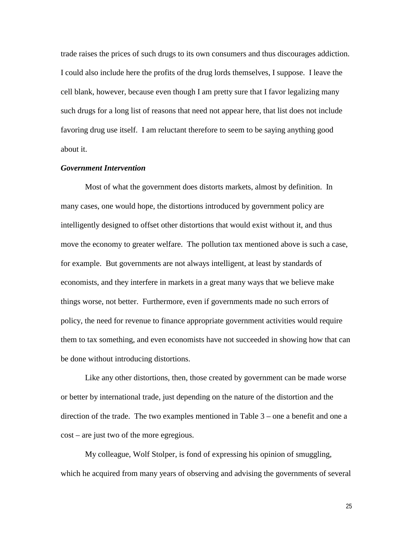trade raises the prices of such drugs to its own consumers and thus discourages addiction. I could also include here the profits of the drug lords themselves, I suppose. I leave the cell blank, however, because even though I am pretty sure that I favor legalizing many such drugs for a long list of reasons that need not appear here, that list does not include favoring drug use itself. I am reluctant therefore to seem to be saying anything good about it.

#### *Government Intervention*

Most of what the government does distorts markets, almost by definition. In many cases, one would hope, the distortions introduced by government policy are intelligently designed to offset other distortions that would exist without it, and thus move the economy to greater welfare. The pollution tax mentioned above is such a case, for example. But governments are not always intelligent, at least by standards of economists, and they interfere in markets in a great many ways that we believe make things worse, not better. Furthermore, even if governments made no such errors of policy, the need for revenue to finance appropriate government activities would require them to tax something, and even economists have not succeeded in showing how that can be done without introducing distortions.

Like any other distortions, then, those created by government can be made worse or better by international trade, just depending on the nature of the distortion and the direction of the trade. The two examples mentioned in Table 3 – one a benefit and one a cost – are just two of the more egregious.

My colleague, Wolf Stolper, is fond of expressing his opinion of smuggling, which he acquired from many years of observing and advising the governments of several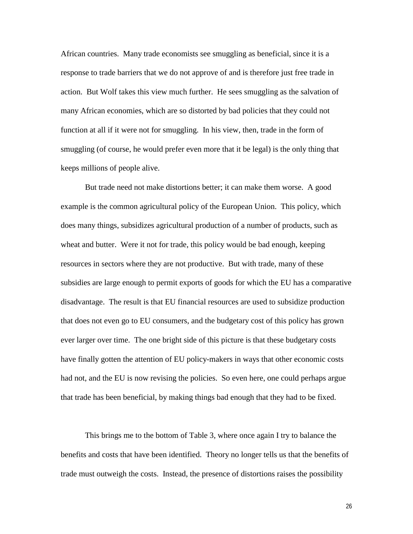African countries. Many trade economists see smuggling as beneficial, since it is a response to trade barriers that we do not approve of and is therefore just free trade in action. But Wolf takes this view much further. He sees smuggling as the salvation of many African economies, which are so distorted by bad policies that they could not function at all if it were not for smuggling. In his view, then, trade in the form of smuggling (of course, he would prefer even more that it be legal) is the only thing that keeps millions of people alive.

But trade need not make distortions better; it can make them worse. A good example is the common agricultural policy of the European Union. This policy, which does many things, subsidizes agricultural production of a number of products, such as wheat and butter. Were it not for trade, this policy would be bad enough, keeping resources in sectors where they are not productive. But with trade, many of these subsidies are large enough to permit exports of goods for which the EU has a comparative disadvantage. The result is that EU financial resources are used to subsidize production that does not even go to EU consumers, and the budgetary cost of this policy has grown ever larger over time. The one bright side of this picture is that these budgetary costs have finally gotten the attention of EU policy-makers in ways that other economic costs had not, and the EU is now revising the policies. So even here, one could perhaps argue that trade has been beneficial, by making things bad enough that they had to be fixed.

This brings me to the bottom of Table 3, where once again I try to balance the benefits and costs that have been identified. Theory no longer tells us that the benefits of trade must outweigh the costs. Instead, the presence of distortions raises the possibility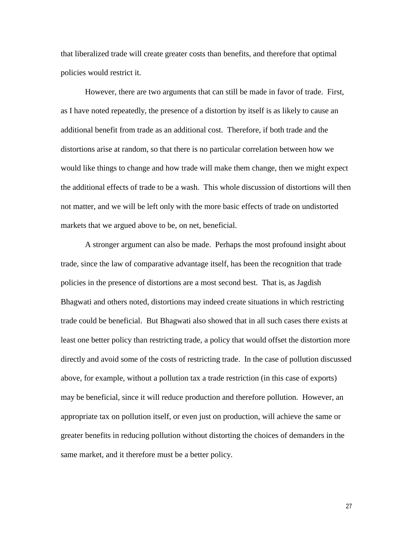that liberalized trade will create greater costs than benefits, and therefore that optimal policies would restrict it.

However, there are two arguments that can still be made in favor of trade. First, as I have noted repeatedly, the presence of a distortion by itself is as likely to cause an additional benefit from trade as an additional cost. Therefore, if both trade and the distortions arise at random, so that there is no particular correlation between how we would like things to change and how trade will make them change, then we might expect the additional effects of trade to be a wash. This whole discussion of distortions will then not matter, and we will be left only with the more basic effects of trade on undistorted markets that we argued above to be, on net, beneficial.

A stronger argument can also be made. Perhaps the most profound insight about trade, since the law of comparative advantage itself, has been the recognition that trade policies in the presence of distortions are a most second best. That is, as Jagdish Bhagwati and others noted, distortions may indeed create situations in which restricting trade could be beneficial. But Bhagwati also showed that in all such cases there exists at least one better policy than restricting trade, a policy that would offset the distortion more directly and avoid some of the costs of restricting trade. In the case of pollution discussed above, for example, without a pollution tax a trade restriction (in this case of exports) may be beneficial, since it will reduce production and therefore pollution. However, an appropriate tax on pollution itself, or even just on production, will achieve the same or greater benefits in reducing pollution without distorting the choices of demanders in the same market, and it therefore must be a better policy.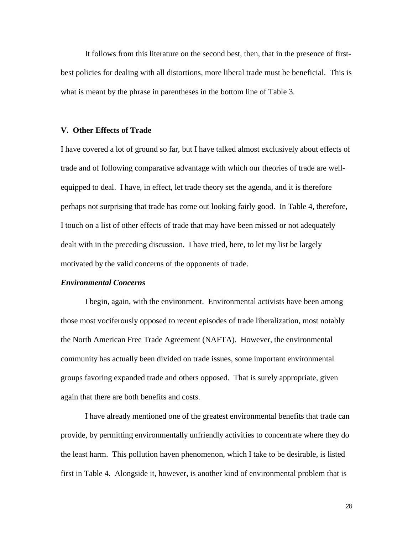It follows from this literature on the second best, then, that in the presence of firstbest policies for dealing with all distortions, more liberal trade must be beneficial. This is what is meant by the phrase in parentheses in the bottom line of Table 3.

#### **V. Other Effects of Trade**

I have covered a lot of ground so far, but I have talked almost exclusively about effects of trade and of following comparative advantage with which our theories of trade are wellequipped to deal. I have, in effect, let trade theory set the agenda, and it is therefore perhaps not surprising that trade has come out looking fairly good. In Table 4, therefore, I touch on a list of other effects of trade that may have been missed or not adequately dealt with in the preceding discussion. I have tried, here, to let my list be largely motivated by the valid concerns of the opponents of trade.

#### *Environmental Concerns*

I begin, again, with the environment. Environmental activists have been among those most vociferously opposed to recent episodes of trade liberalization, most notably the North American Free Trade Agreement (NAFTA). However, the environmental community has actually been divided on trade issues, some important environmental groups favoring expanded trade and others opposed. That is surely appropriate, given again that there are both benefits and costs.

I have already mentioned one of the greatest environmental benefits that trade can provide, by permitting environmentally unfriendly activities to concentrate where they do the least harm. This pollution haven phenomenon, which I take to be desirable, is listed first in Table 4. Alongside it, however, is another kind of environmental problem that is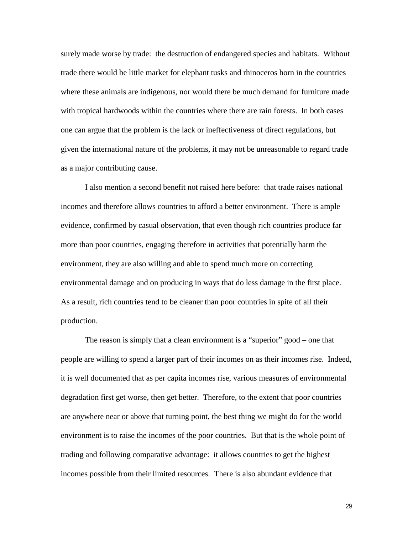surely made worse by trade: the destruction of endangered species and habitats. Without trade there would be little market for elephant tusks and rhinoceros horn in the countries where these animals are indigenous, nor would there be much demand for furniture made with tropical hardwoods within the countries where there are rain forests. In both cases one can argue that the problem is the lack or ineffectiveness of direct regulations, but given the international nature of the problems, it may not be unreasonable to regard trade as a major contributing cause.

I also mention a second benefit not raised here before: that trade raises national incomes and therefore allows countries to afford a better environment. There is ample evidence, confirmed by casual observation, that even though rich countries produce far more than poor countries, engaging therefore in activities that potentially harm the environment, they are also willing and able to spend much more on correcting environmental damage and on producing in ways that do less damage in the first place. As a result, rich countries tend to be cleaner than poor countries in spite of all their production.

The reason is simply that a clean environment is a "superior" good – one that people are willing to spend a larger part of their incomes on as their incomes rise. Indeed, it is well documented that as per capita incomes rise, various measures of environmental degradation first get worse, then get better. Therefore, to the extent that poor countries are anywhere near or above that turning point, the best thing we might do for the world environment is to raise the incomes of the poor countries. But that is the whole point of trading and following comparative advantage: it allows countries to get the highest incomes possible from their limited resources. There is also abundant evidence that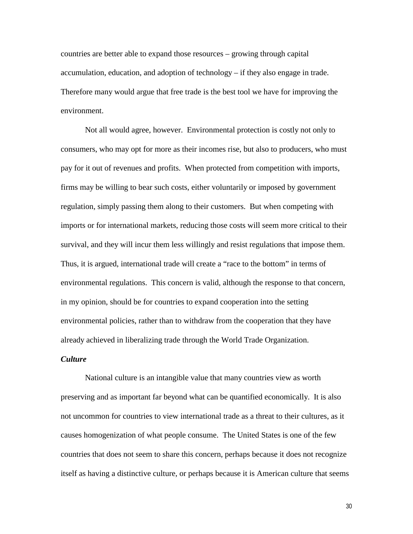countries are better able to expand those resources – growing through capital accumulation, education, and adoption of technology – if they also engage in trade. Therefore many would argue that free trade is the best tool we have for improving the environment.

Not all would agree, however. Environmental protection is costly not only to consumers, who may opt for more as their incomes rise, but also to producers, who must pay for it out of revenues and profits. When protected from competition with imports, firms may be willing to bear such costs, either voluntarily or imposed by government regulation, simply passing them along to their customers. But when competing with imports or for international markets, reducing those costs will seem more critical to their survival, and they will incur them less willingly and resist regulations that impose them. Thus, it is argued, international trade will create a "race to the bottom" in terms of environmental regulations. This concern is valid, although the response to that concern, in my opinion, should be for countries to expand cooperation into the setting environmental policies, rather than to withdraw from the cooperation that they have already achieved in liberalizing trade through the World Trade Organization.

#### *Culture*

National culture is an intangible value that many countries view as worth preserving and as important far beyond what can be quantified economically. It is also not uncommon for countries to view international trade as a threat to their cultures, as it causes homogenization of what people consume. The United States is one of the few countries that does not seem to share this concern, perhaps because it does not recognize itself as having a distinctive culture, or perhaps because it is American culture that seems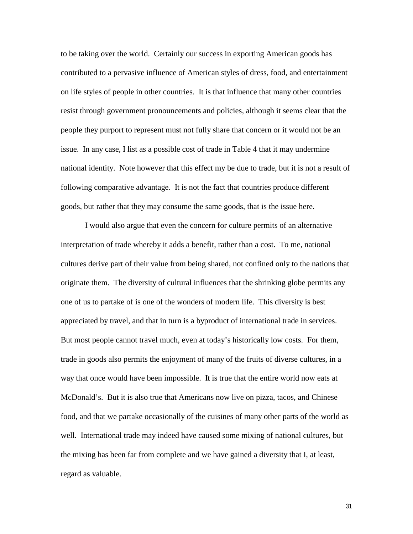to be taking over the world. Certainly our success in exporting American goods has contributed to a pervasive influence of American styles of dress, food, and entertainment on life styles of people in other countries. It is that influence that many other countries resist through government pronouncements and policies, although it seems clear that the people they purport to represent must not fully share that concern or it would not be an issue. In any case, I list as a possible cost of trade in Table 4 that it may undermine national identity. Note however that this effect my be due to trade, but it is not a result of following comparative advantage. It is not the fact that countries produce different goods, but rather that they may consume the same goods, that is the issue here.

I would also argue that even the concern for culture permits of an alternative interpretation of trade whereby it adds a benefit, rather than a cost. To me, national cultures derive part of their value from being shared, not confined only to the nations that originate them. The diversity of cultural influences that the shrinking globe permits any one of us to partake of is one of the wonders of modern life. This diversity is best appreciated by travel, and that in turn is a byproduct of international trade in services. But most people cannot travel much, even at today's historically low costs. For them, trade in goods also permits the enjoyment of many of the fruits of diverse cultures, in a way that once would have been impossible. It is true that the entire world now eats at McDonald's. But it is also true that Americans now live on pizza, tacos, and Chinese food, and that we partake occasionally of the cuisines of many other parts of the world as well. International trade may indeed have caused some mixing of national cultures, but the mixing has been far from complete and we have gained a diversity that I, at least, regard as valuable.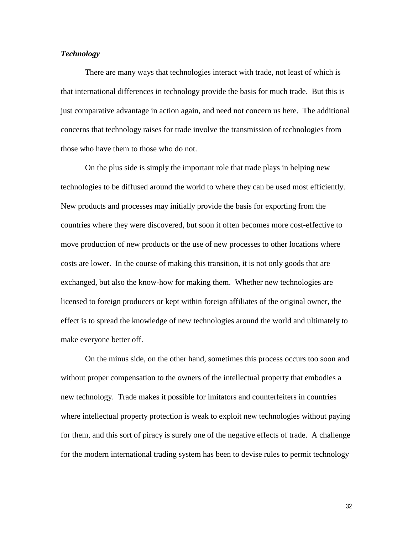#### *Technology*

There are many ways that technologies interact with trade, not least of which is that international differences in technology provide the basis for much trade. But this is just comparative advantage in action again, and need not concern us here. The additional concerns that technology raises for trade involve the transmission of technologies from those who have them to those who do not.

On the plus side is simply the important role that trade plays in helping new technologies to be diffused around the world to where they can be used most efficiently. New products and processes may initially provide the basis for exporting from the countries where they were discovered, but soon it often becomes more cost-effective to move production of new products or the use of new processes to other locations where costs are lower. In the course of making this transition, it is not only goods that are exchanged, but also the know-how for making them. Whether new technologies are licensed to foreign producers or kept within foreign affiliates of the original owner, the effect is to spread the knowledge of new technologies around the world and ultimately to make everyone better off.

On the minus side, on the other hand, sometimes this process occurs too soon and without proper compensation to the owners of the intellectual property that embodies a new technology. Trade makes it possible for imitators and counterfeiters in countries where intellectual property protection is weak to exploit new technologies without paying for them, and this sort of piracy is surely one of the negative effects of trade. A challenge for the modern international trading system has been to devise rules to permit technology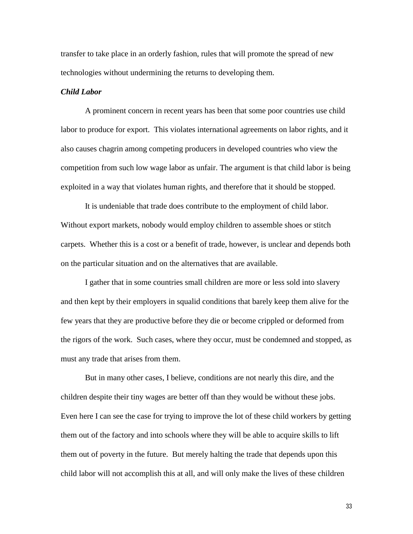transfer to take place in an orderly fashion, rules that will promote the spread of new technologies without undermining the returns to developing them.

#### *Child Labor*

A prominent concern in recent years has been that some poor countries use child labor to produce for export. This violates international agreements on labor rights, and it also causes chagrin among competing producers in developed countries who view the competition from such low wage labor as unfair. The argument is that child labor is being exploited in a way that violates human rights, and therefore that it should be stopped.

It is undeniable that trade does contribute to the employment of child labor. Without export markets, nobody would employ children to assemble shoes or stitch carpets. Whether this is a cost or a benefit of trade, however, is unclear and depends both on the particular situation and on the alternatives that are available.

I gather that in some countries small children are more or less sold into slavery and then kept by their employers in squalid conditions that barely keep them alive for the few years that they are productive before they die or become crippled or deformed from the rigors of the work. Such cases, where they occur, must be condemned and stopped, as must any trade that arises from them.

But in many other cases, I believe, conditions are not nearly this dire, and the children despite their tiny wages are better off than they would be without these jobs. Even here I can see the case for trying to improve the lot of these child workers by getting them out of the factory and into schools where they will be able to acquire skills to lift them out of poverty in the future. But merely halting the trade that depends upon this child labor will not accomplish this at all, and will only make the lives of these children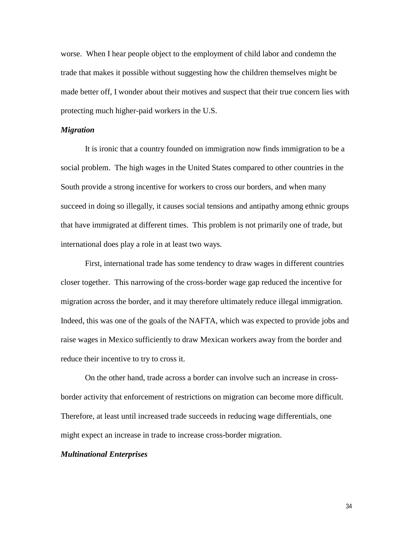worse. When I hear people object to the employment of child labor and condemn the trade that makes it possible without suggesting how the children themselves might be made better off, I wonder about their motives and suspect that their true concern lies with protecting much higher-paid workers in the U.S.

#### *Migration*

It is ironic that a country founded on immigration now finds immigration to be a social problem. The high wages in the United States compared to other countries in the South provide a strong incentive for workers to cross our borders, and when many succeed in doing so illegally, it causes social tensions and antipathy among ethnic groups that have immigrated at different times. This problem is not primarily one of trade, but international does play a role in at least two ways.

First, international trade has some tendency to draw wages in different countries closer together. This narrowing of the cross-border wage gap reduced the incentive for migration across the border, and it may therefore ultimately reduce illegal immigration. Indeed, this was one of the goals of the NAFTA, which was expected to provide jobs and raise wages in Mexico sufficiently to draw Mexican workers away from the border and reduce their incentive to try to cross it.

On the other hand, trade across a border can involve such an increase in crossborder activity that enforcement of restrictions on migration can become more difficult. Therefore, at least until increased trade succeeds in reducing wage differentials, one might expect an increase in trade to increase cross-border migration.

#### *Multinational Enterprises*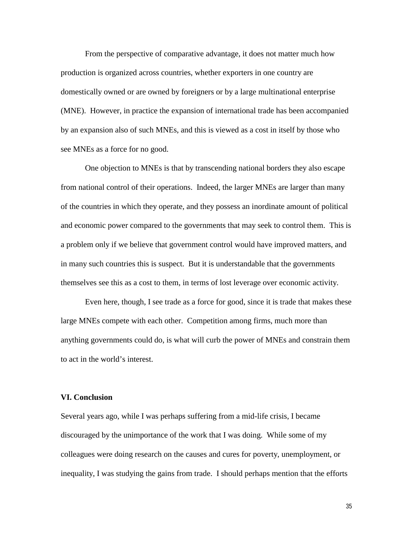From the perspective of comparative advantage, it does not matter much how production is organized across countries, whether exporters in one country are domestically owned or are owned by foreigners or by a large multinational enterprise (MNE). However, in practice the expansion of international trade has been accompanied by an expansion also of such MNEs, and this is viewed as a cost in itself by those who see MNEs as a force for no good.

One objection to MNEs is that by transcending national borders they also escape from national control of their operations. Indeed, the larger MNEs are larger than many of the countries in which they operate, and they possess an inordinate amount of political and economic power compared to the governments that may seek to control them. This is a problem only if we believe that government control would have improved matters, and in many such countries this is suspect. But it is understandable that the governments themselves see this as a cost to them, in terms of lost leverage over economic activity.

Even here, though, I see trade as a force for good, since it is trade that makes these large MNEs compete with each other. Competition among firms, much more than anything governments could do, is what will curb the power of MNEs and constrain them to act in the world's interest.

#### **VI. Conclusion**

Several years ago, while I was perhaps suffering from a mid-life crisis, I became discouraged by the unimportance of the work that I was doing. While some of my colleagues were doing research on the causes and cures for poverty, unemployment, or inequality, I was studying the gains from trade. I should perhaps mention that the efforts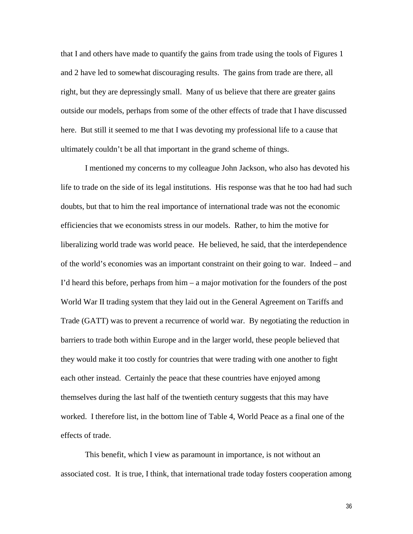that I and others have made to quantify the gains from trade using the tools of Figures 1 and 2 have led to somewhat discouraging results. The gains from trade are there, all right, but they are depressingly small. Many of us believe that there are greater gains outside our models, perhaps from some of the other effects of trade that I have discussed here. But still it seemed to me that I was devoting my professional life to a cause that ultimately couldn't be all that important in the grand scheme of things.

I mentioned my concerns to my colleague John Jackson, who also has devoted his life to trade on the side of its legal institutions. His response was that he too had had such doubts, but that to him the real importance of international trade was not the economic efficiencies that we economists stress in our models. Rather, to him the motive for liberalizing world trade was world peace. He believed, he said, that the interdependence of the world's economies was an important constraint on their going to war. Indeed – and I'd heard this before, perhaps from him – a major motivation for the founders of the post World War II trading system that they laid out in the General Agreement on Tariffs and Trade (GATT) was to prevent a recurrence of world war. By negotiating the reduction in barriers to trade both within Europe and in the larger world, these people believed that they would make it too costly for countries that were trading with one another to fight each other instead. Certainly the peace that these countries have enjoyed among themselves during the last half of the twentieth century suggests that this may have worked. I therefore list, in the bottom line of Table 4, World Peace as a final one of the effects of trade.

This benefit, which I view as paramount in importance, is not without an associated cost. It is true, I think, that international trade today fosters cooperation among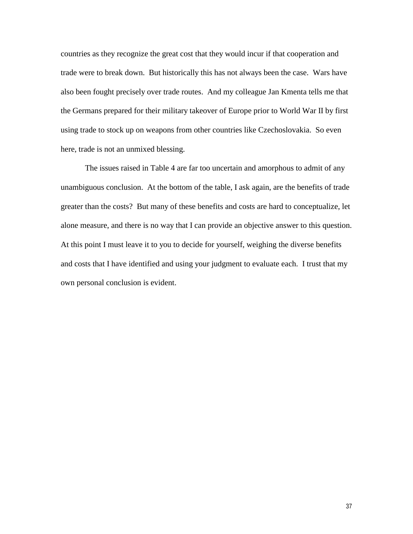countries as they recognize the great cost that they would incur if that cooperation and trade were to break down. But historically this has not always been the case. Wars have also been fought precisely over trade routes. And my colleague Jan Kmenta tells me that the Germans prepared for their military takeover of Europe prior to World War II by first using trade to stock up on weapons from other countries like Czechoslovakia. So even here, trade is not an unmixed blessing.

The issues raised in Table 4 are far too uncertain and amorphous to admit of any unambiguous conclusion. At the bottom of the table, I ask again, are the benefits of trade greater than the costs? But many of these benefits and costs are hard to conceptualize, let alone measure, and there is no way that I can provide an objective answer to this question. At this point I must leave it to you to decide for yourself, weighing the diverse benefits and costs that I have identified and using your judgment to evaluate each. I trust that my own personal conclusion is evident.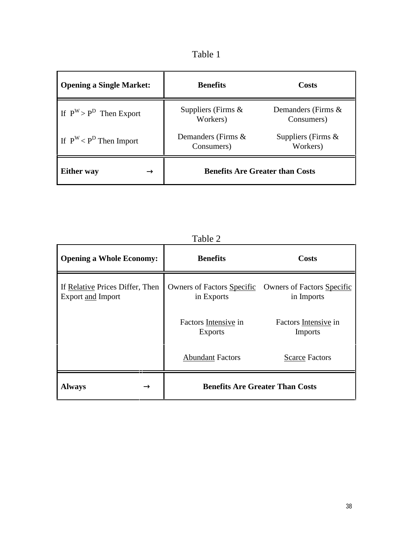| `able |  |
|-------|--|
|-------|--|

| <b>Opening a Single Market:</b>    | <b>Benefits</b>                        | Costs                             |
|------------------------------------|----------------------------------------|-----------------------------------|
| If $P^{W} > P^{D}$ Then Export     | Suppliers (Firms $\&$<br>Workers)      | Demanders (Firms &<br>Consumers)  |
| If $P^{W} < P^{D}$ Then Import     | Demanders (Firms &<br>Consumers)       | Suppliers (Firms $\&$<br>Workers) |
| <b>Either way</b><br>$\rightarrow$ | <b>Benefits Are Greater than Costs</b> |                                   |

Table 2

| <b>Opening a Whole Economy:</b>                             | <b>Benefits</b>                                 | Costs                                           |
|-------------------------------------------------------------|-------------------------------------------------|-------------------------------------------------|
| If Relative Prices Differ, Then<br><b>Export and Import</b> | <b>Owners of Factors Specific</b><br>in Exports | <b>Owners of Factors Specific</b><br>in Imports |
|                                                             | Factors Intensive in<br><b>Exports</b>          | Factors Intensive in<br><b>Imports</b>          |
|                                                             | <b>Abundant Factors</b>                         | <b>Scarce Factors</b>                           |
| <b>Always</b><br>$\rightarrow$                              |                                                 | <b>Benefits Are Greater Than Costs</b>          |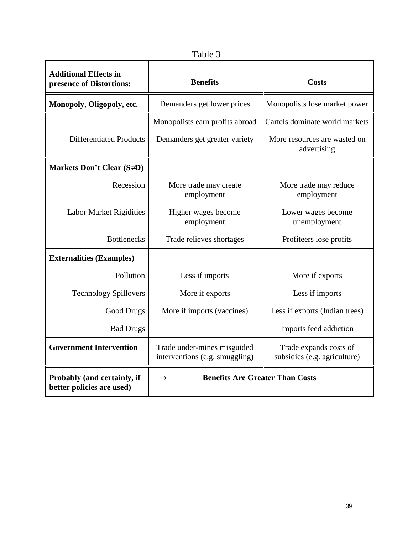| `able |  |
|-------|--|
|-------|--|

| <b>Additional Effects in</b><br>presence of Distortions: | <b>Benefits</b>                                               | <b>Costs</b>                                           |
|----------------------------------------------------------|---------------------------------------------------------------|--------------------------------------------------------|
| Monopoly, Oligopoly, etc.                                | Demanders get lower prices                                    | Monopolists lose market power                          |
|                                                          | Monopolists earn profits abroad                               | Cartels dominate world markets                         |
| <b>Differentiated Products</b>                           | Demanders get greater variety                                 | More resources are wasted on<br>advertising            |
| Markets Don't Clear (S=D)                                |                                                               |                                                        |
| Recession                                                | More trade may create<br>employment                           | More trade may reduce<br>employment                    |
| <b>Labor Market Rigidities</b>                           | Higher wages become<br>employment                             | Lower wages become<br>unemployment                     |
| <b>Bottlenecks</b>                                       | Trade relieves shortages                                      | Profiteers lose profits                                |
| <b>Externalities (Examples)</b>                          |                                                               |                                                        |
| Pollution                                                | Less if imports                                               | More if exports                                        |
| <b>Technology Spillovers</b>                             | More if exports                                               | Less if imports                                        |
| <b>Good Drugs</b>                                        | More if imports (vaccines)                                    | Less if exports (Indian trees)                         |
| <b>Bad Drugs</b>                                         |                                                               | Imports feed addiction                                 |
| <b>Government Intervention</b>                           | Trade under-mines misguided<br>interventions (e.g. smuggling) | Trade expands costs of<br>subsidies (e.g. agriculture) |
| Probably (and certainly, if<br>better policies are used) | <b>Benefits Are Greater Than Costs</b><br>$\rightarrow$       |                                                        |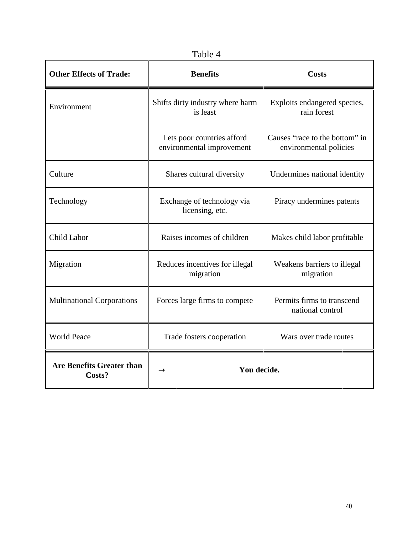| <b>Table</b> |  |
|--------------|--|
|--------------|--|

| <b>Other Effects of Trade:</b>             | <b>Benefits</b>                                         | <b>Costs</b>                                             |
|--------------------------------------------|---------------------------------------------------------|----------------------------------------------------------|
| Environment                                | Shifts dirty industry where harm<br>is least            | Exploits endangered species,<br>rain forest              |
|                                            | Lets poor countries afford<br>environmental improvement | Causes "race to the bottom" in<br>environmental policies |
| Culture                                    | Shares cultural diversity                               | Undermines national identity                             |
| Technology                                 | Exchange of technology via<br>licensing, etc.           | Piracy undermines patents                                |
| Child Labor                                | Raises incomes of children                              | Makes child labor profitable                             |
| Migration                                  | Reduces incentives for illegal<br>migration             | Weakens barriers to illegal<br>migration                 |
| <b>Multinational Corporations</b>          | Forces large firms to compete                           | Permits firms to transcend<br>national control           |
| <b>World Peace</b>                         | Trade fosters cooperation                               | Wars over trade routes                                   |
| <b>Are Benefits Greater than</b><br>Costs? | You decide.                                             |                                                          |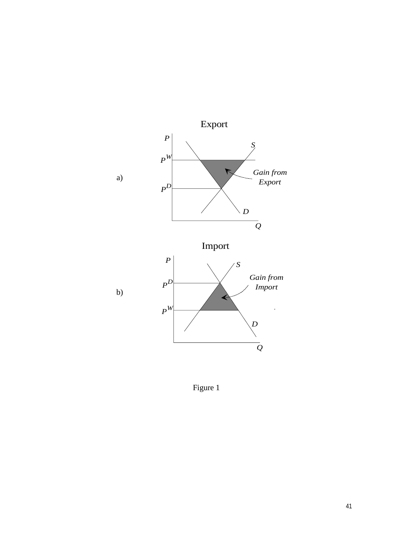

Figure 1